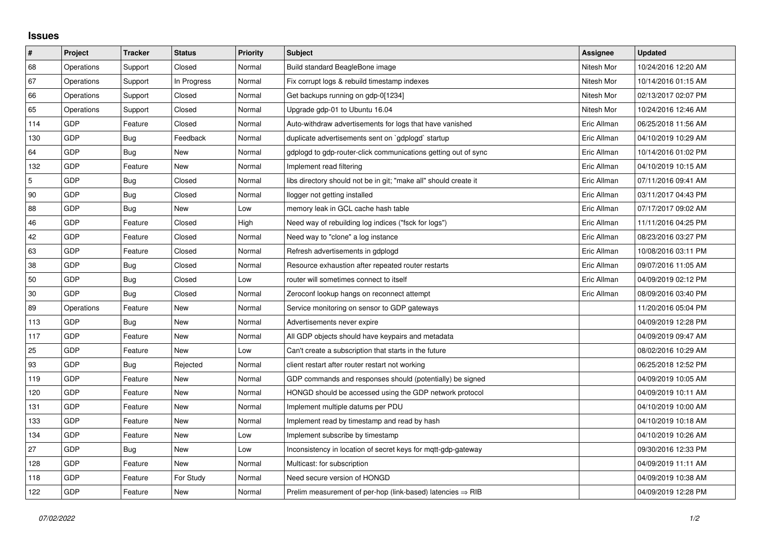## **Issues**

| $\vert$ #  | Project    | <b>Tracker</b> | <b>Status</b> | <b>Priority</b> | <b>Subject</b>                                                         | Assignee    | <b>Updated</b>      |
|------------|------------|----------------|---------------|-----------------|------------------------------------------------------------------------|-------------|---------------------|
| 68         | Operations | Support        | Closed        | Normal          | Build standard BeagleBone image                                        | Nitesh Mor  | 10/24/2016 12:20 AM |
| 67         | Operations | Support        | In Progress   | Normal          | Fix corrupt logs & rebuild timestamp indexes                           | Nitesh Mor  | 10/14/2016 01:15 AM |
| 66         | Operations | Support        | Closed        | Normal          | Get backups running on gdp-0[1234]                                     | Nitesh Mor  | 02/13/2017 02:07 PM |
| 65         | Operations | Support        | Closed        | Normal          | Upgrade gdp-01 to Ubuntu 16.04                                         | Nitesh Mor  | 10/24/2016 12:46 AM |
| 114        | <b>GDP</b> | Feature        | Closed        | Normal          | Auto-withdraw advertisements for logs that have vanished               | Eric Allman | 06/25/2018 11:56 AM |
| 130        | GDP        | Bug            | Feedback      | Normal          | duplicate advertisements sent on `gdplogd` startup                     | Eric Allman | 04/10/2019 10:29 AM |
| 64         | <b>GDP</b> | Bug            | <b>New</b>    | Normal          | gdplogd to gdp-router-click communications getting out of sync         | Eric Allman | 10/14/2016 01:02 PM |
| 132        | GDP        | Feature        | New           | Normal          | Implement read filtering                                               | Eric Allman | 04/10/2019 10:15 AM |
| $\sqrt{5}$ | <b>GDP</b> | Bug            | Closed        | Normal          | libs directory should not be in git; "make all" should create it       | Eric Allman | 07/11/2016 09:41 AM |
| 90         | <b>GDP</b> | Bug            | Closed        | Normal          | llogger not getting installed                                          | Eric Allman | 03/11/2017 04:43 PM |
| 88         | <b>GDP</b> | Bug            | New           | Low             | memory leak in GCL cache hash table                                    | Eric Allman | 07/17/2017 09:02 AM |
| 46         | <b>GDP</b> | Feature        | Closed        | High            | Need way of rebuilding log indices ("fsck for logs")                   | Eric Allman | 11/11/2016 04:25 PM |
| 42         | <b>GDP</b> | Feature        | Closed        | Normal          | Need way to "clone" a log instance                                     | Eric Allman | 08/23/2016 03:27 PM |
| 63         | <b>GDP</b> | Feature        | Closed        | Normal          | Refresh advertisements in gdplogd                                      | Eric Allman | 10/08/2016 03:11 PM |
| 38         | GDP        | Bug            | Closed        | Normal          | Resource exhaustion after repeated router restarts                     | Eric Allman | 09/07/2016 11:05 AM |
| 50         | <b>GDP</b> | Bug            | Closed        | Low             | router will sometimes connect to itself                                | Eric Allman | 04/09/2019 02:12 PM |
| 30         | GDP        | Bug            | Closed        | Normal          | Zeroconf lookup hangs on reconnect attempt                             | Eric Allman | 08/09/2016 03:40 PM |
| 89         | Operations | Feature        | New           | Normal          | Service monitoring on sensor to GDP gateways                           |             | 11/20/2016 05:04 PM |
| 113        | <b>GDP</b> | Bug            | New           | Normal          | Advertisements never expire                                            |             | 04/09/2019 12:28 PM |
| 117        | <b>GDP</b> | Feature        | New           | Normal          | All GDP objects should have keypairs and metadata                      |             | 04/09/2019 09:47 AM |
| 25         | GDP        | Feature        | New           | Low             | Can't create a subscription that starts in the future                  |             | 08/02/2016 10:29 AM |
| 93         | <b>GDP</b> | Bug            | Rejected      | Normal          | client restart after router restart not working                        |             | 06/25/2018 12:52 PM |
| 119        | <b>GDP</b> | Feature        | New           | Normal          | GDP commands and responses should (potentially) be signed              |             | 04/09/2019 10:05 AM |
| 120        | <b>GDP</b> | Feature        | New           | Normal          | HONGD should be accessed using the GDP network protocol                |             | 04/09/2019 10:11 AM |
| 131        | <b>GDP</b> | Feature        | <b>New</b>    | Normal          | Implement multiple datums per PDU                                      |             | 04/10/2019 10:00 AM |
| 133        | GDP        | Feature        | New           | Normal          | Implement read by timestamp and read by hash                           |             | 04/10/2019 10:18 AM |
| 134        | <b>GDP</b> | Feature        | New           | Low             | Implement subscribe by timestamp                                       |             | 04/10/2019 10:26 AM |
| 27         | GDP        | Bug            | <b>New</b>    | Low             | Inconsistency in location of secret keys for mqtt-gdp-gateway          |             | 09/30/2016 12:33 PM |
| 128        | <b>GDP</b> | Feature        | New           | Normal          | Multicast: for subscription                                            |             | 04/09/2019 11:11 AM |
| 118        | GDP        | Feature        | For Study     | Normal          | Need secure version of HONGD                                           |             | 04/09/2019 10:38 AM |
| 122        | GDP        | Feature        | <b>New</b>    | Normal          | Prelim measurement of per-hop (link-based) latencies $\Rightarrow$ RIB |             | 04/09/2019 12:28 PM |